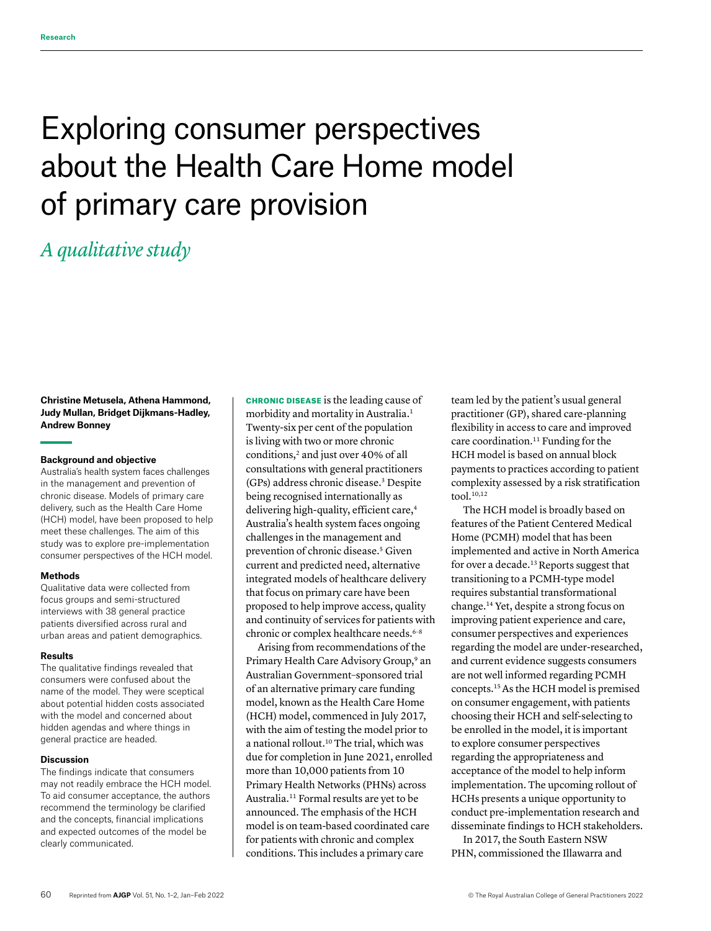# Exploring consumer perspectives about the Health Care Home model of primary care provision

# *A qualitative study*

**Christine Metusela, Athena Hammond, Judy Mullan, Bridget Dijkmans-Hadley, Andrew Bonney**

#### **Background and objective**

Australia's health system faces challenges in the management and prevention of chronic disease. Models of primary care delivery, such as the Health Care Home (HCH) model, have been proposed to help meet these challenges. The aim of this study was to explore pre-implementation consumer perspectives of the HCH model.

#### **Methods**

Qualitative data were collected from focus groups and semi-structured interviews with 38 general practice patients diversified across rural and urban areas and patient demographics.

#### **Results**

The qualitative findings revealed that consumers were confused about the name of the model. They were sceptical about potential hidden costs associated with the model and concerned about hidden agendas and where things in general practice are headed.

#### **Discussion**

The findings indicate that consumers may not readily embrace the HCH model. To aid consumer acceptance, the authors recommend the terminology be clarified and the concepts, financial implications and expected outcomes of the model be clearly communicated.

CHRONIC DISEASE is the leading cause of morbidity and mortality in Australia.<sup>1</sup> Twenty-six per cent of the population is living with two or more chronic conditions,<sup>2</sup> and just over 40% of all consultations with general practitioners (GPs) address chronic disease.3 Despite being recognised internationally as delivering high-quality, efficient care,<sup>4</sup> Australia's health system faces ongoing challenges in the management and prevention of chronic disease.<sup>5</sup> Given current and predicted need, alternative integrated models of healthcare delivery that focus on primary care have been proposed to help improve access, quality and continuity of services for patients with chronic or complex healthcare needs.<sup>6-8</sup>

Arising from recommendations of the Primary Health Care Advisory Group,<sup>9</sup> an Australian Government–sponsored trial of an alternative primary care funding model, known as the Health Care Home (HCH) model, commenced in July 2017, with the aim of testing the model prior to a national rollout.<sup>10</sup> The trial, which was due for completion in June 2021, enrolled more than 10,000 patients from 10 Primary Health Networks (PHNs) across Australia.11 Formal results are yet to be announced. The emphasis of the HCH model is on team-based coordinated care for patients with chronic and complex conditions. This includes a primary care

team led by the patient's usual general practitioner (GP), shared care-planning flexibility in access to care and improved care coordination.<sup>11</sup> Funding for the HCH model is based on annual block payments to practices according to patient complexity assessed by a risk stratification  $\text{tool.}^{10,12}$ 

The HCH model is broadly based on features of the Patient Centered Medical Home (PCMH) model that has been implemented and active in North America for over a decade.<sup>13</sup> Reports suggest that transitioning to a PCMH-type model requires substantial transformational change.14 Yet, despite a strong focus on improving patient experience and care, consumer perspectives and experiences regarding the model are under-researched, and current evidence suggests consumers are not well informed regarding PCMH concepts.15 As the HCH model is premised on consumer engagement, with patients choosing their HCH and self-selecting to be enrolled in the model, it is important to explore consumer perspectives regarding the appropriateness and acceptance of the model to help inform implementation. The upcoming rollout of HCHs presents a unique opportunity to conduct pre-implementation research and disseminate findings to HCH stakeholders.

In 2017, the South Eastern NSW PHN, commissioned the Illawarra and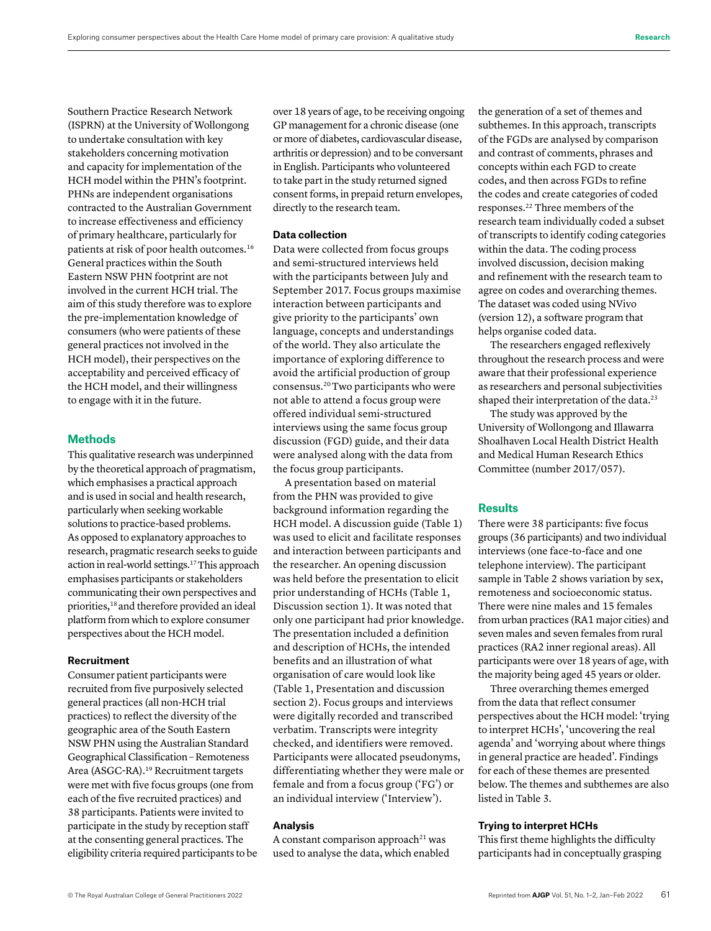Southern Practice Research Network (ISPRN) at the University of Wollongong to undertake consultation with key stakeholders concerning motivation and capacity for implementation of the HCH model within the PHN's footprint. PHNs are independent organisations contracted to the Australian Government to increase effectiveness and efficiency of primary healthcare, particularly for patients at risk of poor health outcomes.16 General practices within the South Eastern NSW PHN footprint are not involved in the current HCH trial. The aim of this study therefore was to explore the pre-implementation knowledge of consumers (who were patients of these general practices not involved in the HCH model), their perspectives on the acceptability and perceived efficacy of the HCH model, and their willingness to engage with it in the future.

### **Methods**

This qualitative research was underpinned by the theoretical approach of pragmatism, which emphasises a practical approach and is used in social and health research, particularly when seeking workable solutions to practice-based problems. As opposed to explanatory approaches to research, pragmatic research seeks to guide action in real-world settings.17 This approach emphasises participants or stakeholders communicating their own perspectives and priorities,<sup>18</sup> and therefore provided an ideal platform from which to explore consumer perspectives about the HCH model.

#### **Recruitment**

Consumer patient participants were recruited from five purposively selected general practices (all non-HCH trial practices) to reflect the diversity of the geographic area of the South Eastern NSW PHN using the Australian Standard Geographical Classification – Remoteness Area (ASGC-RA).19 Recruitment targets were met with five focus groups (one from each of the five recruited practices) and 38 participants. Patients were invited to participate in the study by reception staff at the consenting general practices. The eligibility criteria required participants to be over 18 years of age, to be receiving ongoing GP management for a chronic disease (one or more of diabetes, cardiovascular disease, arthritis or depression) and to be conversant in English. Participants who volunteered to take part in the study returned signed consent forms, in prepaid return envelopes, directly to the research team.

#### **Data collection**

Data were collected from focus groups and semi-structured interviews held with the participants between July and September 2017. Focus groups maximise interaction between participants and give priority to the participants' own language, concepts and understandings of the world. They also articulate the importance of exploring difference to avoid the artificial production of group consensus.20 Two participants who were not able to attend a focus group were offered individual semi-structured interviews using the same focus group discussion (FGD) guide, and their data were analysed along with the data from the focus group participants.

A presentation based on material from the PHN was provided to give background information regarding the HCH model. A discussion guide (Table 1) was used to elicit and facilitate responses and interaction between participants and the researcher. An opening discussion was held before the presentation to elicit prior understanding of HCHs (Table 1, Discussion section 1). It was noted that only one participant had prior knowledge. The presentation included a definition and description of HCHs, the intended benefits and an illustration of what organisation of care would look like (Table 1, Presentation and discussion section 2). Focus groups and interviews were digitally recorded and transcribed verbatim. Transcripts were integrity checked, and identifiers were removed. Participants were allocated pseudonyms, differentiating whether they were male or female and from a focus group ('FG') or an individual interview ('Interview').

# **Analysis**

A constant comparison approach<sup>21</sup> was used to analyse the data, which enabled the generation of a set of themes and subthemes. In this approach, transcripts of the FGDs are analysed by comparison and contrast of comments, phrases and concepts within each FGD to create codes, and then across FGDs to refine the codes and create categories of coded responses.22 Three members of the research team individually coded a subset of transcripts to identify coding categories within the data. The coding process involved discussion, decision making and refinement with the research team to agree on codes and overarching themes. The dataset was coded using NVivo (version 12), a software program that helps organise coded data.

The researchers engaged reflexively throughout the research process and were aware that their professional experience as researchers and personal subjectivities shaped their interpretation of the data.<sup>23</sup>

The study was approved by the University of Wollongong and Illawarra Shoalhaven Local Health District Health and Medical Human Research Ethics Committee (number 2017/057).

#### **Results**

There were 38 participants: five focus groups (36 participants) and two individual interviews (one face-to-face and one telephone interview). The participant sample in Table 2 shows variation by sex, remoteness and socioeconomic status. There were nine males and 15 females from urban practices (RA1 major cities) and seven males and seven females from rural practices (RA2 inner regional areas). All participants were over 18 years of age, with the majority being aged 45 years or older.

Three overarching themes emerged from the data that reflect consumer perspectives about the HCH model: 'trying to interpret HCHs', 'uncovering the real agenda' and 'worrying about where things in general practice are headed'. Findings for each of these themes are presented below. The themes and subthemes are also listed in Table 3.

### **Trying to interpret HCHs**

This first theme highlights the difficulty participants had in conceptually grasping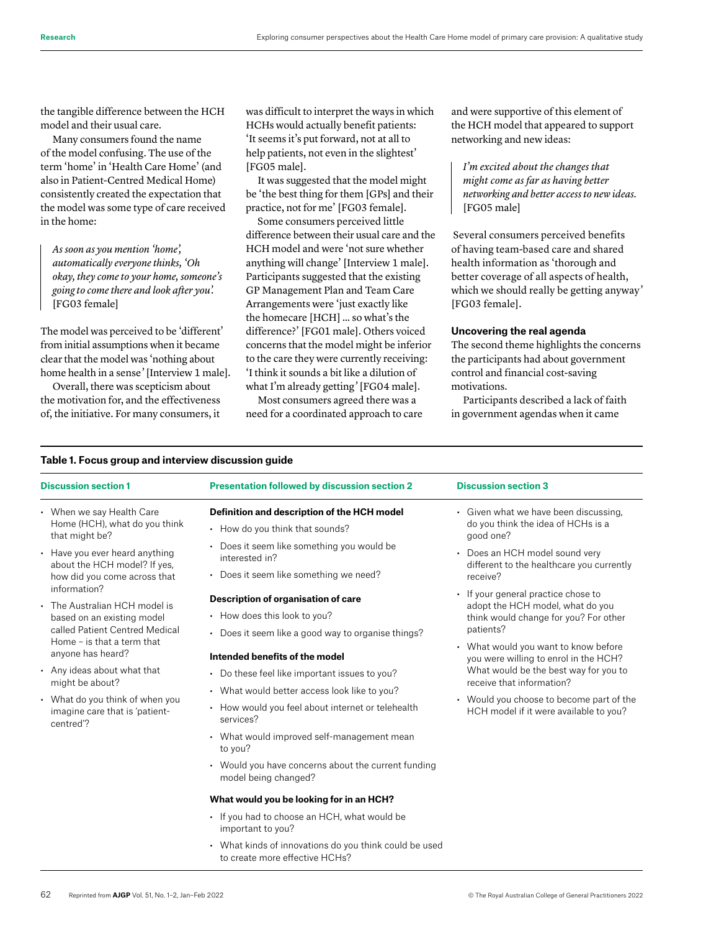the tangible difference between the HCH model and their usual care.

Many consumers found the name of the model confusing. The use of the term 'home' in 'Health Care Home' (and also in Patient-Centred Medical Home) consistently created the expectation that the model was some type of care received in the home:

*As soon as you mention 'home', automatically everyone thinks, 'Oh okay, they come to your home, someone's going to come there and look after you'.* [FG03 female]

The model was perceived to be 'different' from initial assumptions when it became clear that the model was 'nothing about home health in a sense*'* [Interview 1 male].

Overall, there was scepticism about the motivation for, and the effectiveness of, the initiative. For many consumers, it was difficult to interpret the ways in which HCHs would actually benefit patients: 'It seems it's put forward, not at all to help patients, not even in the slightest' [FG05 male].

It was suggested that the model might be 'the best thing for them [GPs] and their practice, not for me' [FG03 female].

Some consumers perceived little difference between their usual care and the HCH model and were 'not sure whether anything will change' [Interview 1 male]. Participants suggested that the existing GP Management Plan and Team Care Arrangements were 'just exactly like the homecare [HCH] … so what's the difference?' [FG01 male]. Others voiced concerns that the model might be inferior to the care they were currently receiving: 'I think it sounds a bit like a dilution of what I'm already getting*'* [FG04 male].

Most consumers agreed there was a need for a coordinated approach to care and were supportive of this element of the HCH model that appeared to support networking and new ideas:

*I'm excited about the changes that might come as far as having better networking and better access to new ideas.* [FG05 male]

 Several consumers perceived benefits of having team-based care and shared health information as 'thorough and better coverage of all aspects of health, which we should really be getting anyway*'* [FG03 female].

### **Uncovering the real agenda**

The second theme highlights the concerns the participants had about government control and financial cost-saving motivations.

Participants described a lack of faith in government agendas when it came

| <b>Discussion section 1</b>                                                                                                                                                                                                                                                                                                        | <b>Presentation followed by discussion section 2</b>                                                                                                                                                                                                                                                                                                                                                                                                                                                                                                                                                                          | <b>Discussion section 3</b>                                                                                                                                                                                                                                                                                                                                                          |  |
|------------------------------------------------------------------------------------------------------------------------------------------------------------------------------------------------------------------------------------------------------------------------------------------------------------------------------------|-------------------------------------------------------------------------------------------------------------------------------------------------------------------------------------------------------------------------------------------------------------------------------------------------------------------------------------------------------------------------------------------------------------------------------------------------------------------------------------------------------------------------------------------------------------------------------------------------------------------------------|--------------------------------------------------------------------------------------------------------------------------------------------------------------------------------------------------------------------------------------------------------------------------------------------------------------------------------------------------------------------------------------|--|
| • When we say Health Care<br>Home (HCH), what do you think<br>that might be?<br>• Have you ever heard anything<br>about the HCH model? If yes,                                                                                                                                                                                     | Definition and description of the HCH model<br>• How do you think that sounds?<br>Does it seem like something you would be<br>interested in?                                                                                                                                                                                                                                                                                                                                                                                                                                                                                  | • Given what we have been discussing,<br>do you think the idea of HCHs is a<br>qood one?<br>Does an HCH model sound very<br>different to the healthcare you currently                                                                                                                                                                                                                |  |
| how did you come across that<br>information?<br>The Australian HCH model is<br>based on an existing model<br>called Patient Centred Medical<br>Home - is that a term that<br>anyone has heard?<br>• Any ideas about what that<br>might be about?<br>• What do you think of when you<br>imagine care that is 'patient-<br>centred"? | Does it seem like something we need?<br>Description of organisation of care<br>• How does this look to you?<br>Does it seem like a good way to organise things?<br>Intended benefits of the model<br>• Do these feel like important issues to you?<br>• What would better access look like to you?<br>• How would you feel about internet or telehealth<br>services?<br>• What would improved self-management mean<br>to you?<br>• Would you have concerns about the current funding<br>model being changed?<br>What would you be looking for in an HCH?<br>• If you had to choose an HCH, what would be<br>important to you? | receive?<br>If your general practice chose to<br>adopt the HCH model, what do you<br>think would change for you? For other<br>patients?<br>• What would you want to know before<br>you were willing to enrol in the HCH?<br>What would be the best way for you to<br>receive that information?<br>• Would you choose to become part of the<br>HCH model if it were available to you? |  |
|                                                                                                                                                                                                                                                                                                                                    | • What kinds of innovations do you think could be used<br>to create more effective HCHs?                                                                                                                                                                                                                                                                                                                                                                                                                                                                                                                                      |                                                                                                                                                                                                                                                                                                                                                                                      |  |

# **Table 1. Focus group and interview discussion guide**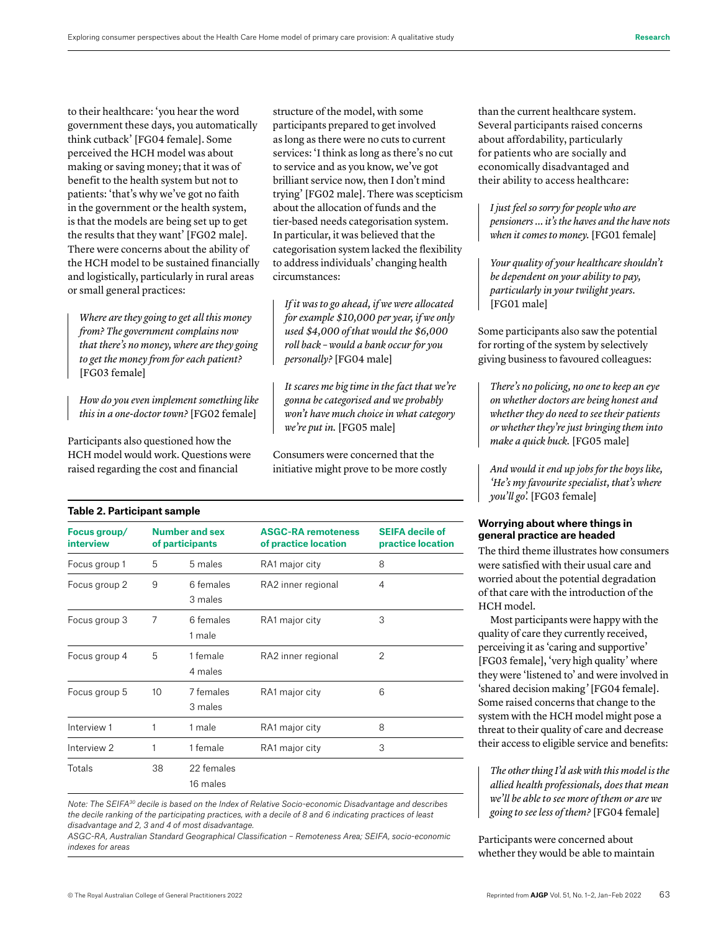to their healthcare: 'you hear the word government these days, you automatically think cutback' [FG04 female]. Some perceived the HCH model was about making or saving money; that it was of benefit to the health system but not to patients: 'that's why we've got no faith in the government or the health system, is that the models are being set up to get the results that they want' [FG02 male]. There were concerns about the ability of the HCH model to be sustained financially and logistically, particularly in rural areas or small general practices:

*Where are they going to get all this money from? The government complains now that there's no money, where are they going to get the money from for each patient?* [FG03 female]

*How do you even implement something like this in a one-doctor town?* [FG02 female]

Participants also questioned how the HCH model would work. Questions were raised regarding the cost and financial

structure of the model, with some participants prepared to get involved as long as there were no cuts to current services: 'I think as long as there's no cut to service and as you know, we've got brilliant service now, then I don't mind trying' [FG02 male]. There was scepticism about the allocation of funds and the tier-based needs categorisation system. In particular, it was believed that the categorisation system lacked the flexibility to address individuals' changing health circumstances:

*If it was to go ahead, if we were allocated for example \$10,000 per year, if we only used \$4,000 of that would the \$6,000 roll back – would a bank occur for you personally?* [FG04 male]

*It scares me big time in the fact that we're gonna be categorised and we probably won't have much choice in what category we're put in.* [FG05 male]

Consumers were concerned that the initiative might prove to be more costly

|  |  |  |  |  |  | Table 2. Participant sample |  |
|--|--|--|--|--|--|-----------------------------|--|
|--|--|--|--|--|--|-----------------------------|--|

| Focus group/<br><b>interview</b> |    | <b>Number and sex</b><br>of participants | <b>ASGC-RA remoteness</b><br>of practice location | <b>SEIFA decile of</b><br>practice location |
|----------------------------------|----|------------------------------------------|---------------------------------------------------|---------------------------------------------|
| Focus group 1                    | 5  | 5 males                                  | RA1 major city                                    | 8                                           |
| Focus group 2                    | 9  | 6 females<br>3 males                     | RA2 inner regional                                | 4                                           |
| Focus group 3                    | 7  | 6 females<br>1 male                      | RA1 major city                                    | 3                                           |
| Focus group 4                    | 5  | 1 female<br>4 males                      | RA2 inner regional                                | 2                                           |
| Focus group 5                    | 10 | 7 females<br>3 males                     | RA1 major city                                    | 6                                           |
| Interview 1                      |    | 1 male                                   | RA1 major city                                    | 8                                           |
| Interview 2                      | 1  | 1 female                                 | RA1 major city                                    | 3                                           |
| Totals                           | 38 | 22 females<br>16 males                   |                                                   |                                             |

*Note: The SEIFA30 decile is based on the Index of Relative Socio-economic Disadvantage and describes the decile ranking of the participating practices, with a decile of 8 and 6 indicating practices of least disadvantage and 2, 3 and 4 of most disadvantage.*

*ASGC-RA, Australian Standard Geographical Classification – Remoteness Area; SEIFA, socio-economic indexes for areas* 

than the current healthcare system. Several participants raised concerns about affordability, particularly for patients who are socially and economically disadvantaged and their ability to access healthcare:

*I just feel so sorry for people who are pensioners … it's the haves and the have nots when it comes to money.* [FG01 female]

*Your quality of your healthcare shouldn't be dependent on your ability to pay, particularly in your twilight years.* [FG01 male]

Some participants also saw the potential for rorting of the system by selectively giving business to favoured colleagues:

*There's no policing, no one to keep an eye on whether doctors are being honest and whether they do need to see their patients or whether they're just bringing them into make a quick buck.* [FG05 male]

*And would it end up jobs for the boys like, 'He's my favourite specialist, that's where you'll go'.* [FG03 female]

#### **Worrying about where things in general practice are headed**

The third theme illustrates how consumers were satisfied with their usual care and worried about the potential degradation of that care with the introduction of the HCH model.

Most participants were happy with the quality of care they currently received, perceiving it as 'caring and supportive' [FG03 female], 'very high quality' where they were 'listened to' and were involved in 'shared decision making*'* [FG04 female]. Some raised concerns that change to the system with the HCH model might pose a threat to their quality of care and decrease their access to eligible service and benefits:

*The other thing I'd ask with this model is the allied health professionals, does that mean we'll be able to see more of them or are we going to see less of them?* [FG04 female]

Participants were concerned about whether they would be able to maintain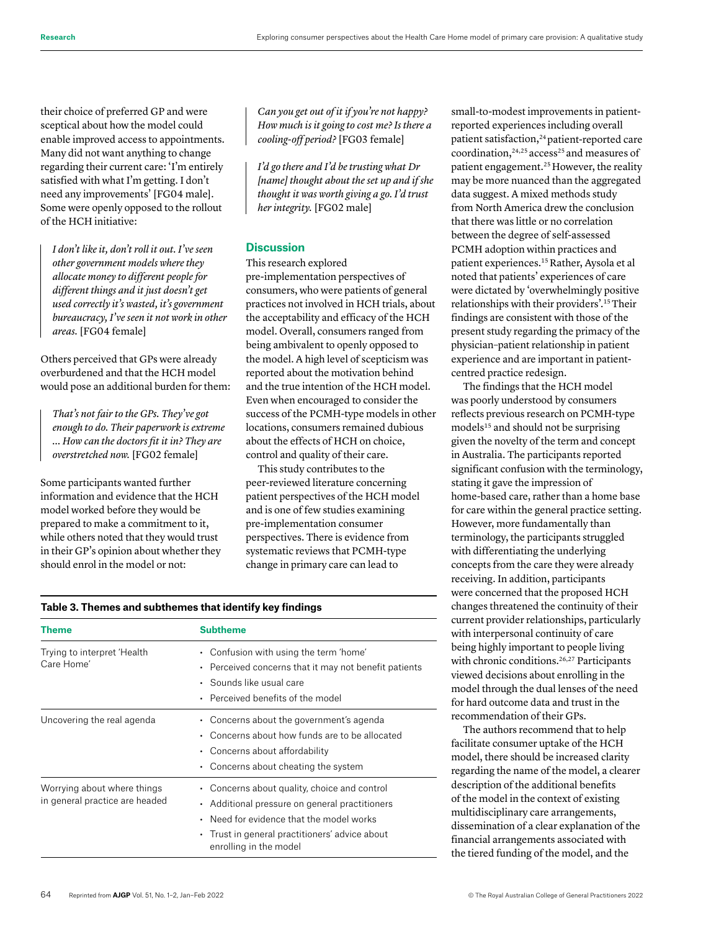their choice of preferred GP and were sceptical about how the model could enable improved access to appointments. Many did not want anything to change regarding their current care: 'I'm entirely satisfied with what I'm getting. I don't need any improvements' [FG04 male]. Some were openly opposed to the rollout of the HCH initiative:

*I don't like it, don't roll it out. I've seen other government models where they allocate money to different people for different things and it just doesn't get used correctly it's wasted, it's government bureaucracy, I've seen it not work in other areas.* [FG04 female]

Others perceived that GPs were already overburdened and that the HCH model would pose an additional burden for them:

*That's not fair to the GPs. They've got enough to do. Their paperwork is extreme … How can the doctors fit it in? They are overstretched now.* [FG02 female]

Some participants wanted further information and evidence that the HCH model worked before they would be prepared to make a commitment to it, while others noted that they would trust in their GP's opinion about whether they should enrol in the model or not:

*Can you get out of it if you're not happy? How much is it going to cost me? Is there a cooling-off period?* [FG03 female]

*I'd go there and I'd be trusting what Dr [name] thought about the set up and if she thought it was worth giving a go. I'd trust her integrity.* [FG02 male]

# **Discussion**

This research explored pre-implementation perspectives of consumers, who were patients of general practices not involved in HCH trials, about the acceptability and efficacy of the HCH model. Overall, consumers ranged from being ambivalent to openly opposed to the model. A high level of scepticism was reported about the motivation behind and the true intention of the HCH model. Even when encouraged to consider the success of the PCMH-type models in other locations, consumers remained dubious about the effects of HCH on choice, control and quality of their care.

This study contributes to the peer-reviewed literature concerning patient perspectives of the HCH model and is one of few studies examining pre-implementation consumer perspectives. There is evidence from systematic reviews that PCMH-type change in primary care can lead to

small-to-modest improvements in patientreported experiences including overall patient satisfaction,<sup>24</sup> patient-reported care coordination,<sup>24,25</sup> access<sup>25</sup> and measures of patient engagement.<sup>25</sup> However, the reality may be more nuanced than the aggregated data suggest. A mixed methods study from North America drew the conclusion that there was little or no correlation between the degree of self-assessed PCMH adoption within practices and patient experiences.15 Rather, Aysola et al noted that patients' experiences of care were dictated by 'overwhelmingly positive relationships with their providers'.15 Their findings are consistent with those of the present study regarding the primacy of the physician–patient relationship in patient experience and are important in patientcentred practice redesign.

The findings that the HCH model was poorly understood by consumers reflects previous research on PCMH-type models<sup>15</sup> and should not be surprising given the novelty of the term and concept in Australia. The participants reported significant confusion with the terminology, stating it gave the impression of home-based care, rather than a home base for care within the general practice setting. However, more fundamentally than terminology, the participants struggled with differentiating the underlying concepts from the care they were already receiving. In addition, participants were concerned that the proposed HCH changes threatened the continuity of their current provider relationships, particularly with interpersonal continuity of care being highly important to people living with chronic conditions.<sup>26,27</sup> Participants viewed decisions about enrolling in the model through the dual lenses of the need for hard outcome data and trust in the recommendation of their GPs.

The authors recommend that to help facilitate consumer uptake of the HCH model, there should be increased clarity regarding the name of the model, a clearer description of the additional benefits of the model in the context of existing multidisciplinary care arrangements, dissemination of a clear explanation of the financial arrangements associated with the tiered funding of the model, and the

#### **Table 3. Themes and subthemes that identify key findings**

| Theme                                                         | Subtheme                                                                                                                                                                                                                          |
|---------------------------------------------------------------|-----------------------------------------------------------------------------------------------------------------------------------------------------------------------------------------------------------------------------------|
| Trying to interpret 'Health<br>Care Home'                     | • Confusion with using the term 'home'<br>• Perceived concerns that it may not benefit patients<br>• Sounds like usual care<br>• Perceived benefits of the model                                                                  |
| Uncovering the real agenda                                    | • Concerns about the government's agenda<br>Concerns about how funds are to be allocated<br>$\bullet$<br>• Concerns about affordability<br>• Concerns about cheating the system                                                   |
| Worrying about where things<br>in general practice are headed | • Concerns about quality, choice and control<br>Additional pressure on general practitioners<br>$\bullet$<br>• Need for evidence that the model works<br>• Trust in general practitioners' advice about<br>enrolling in the model |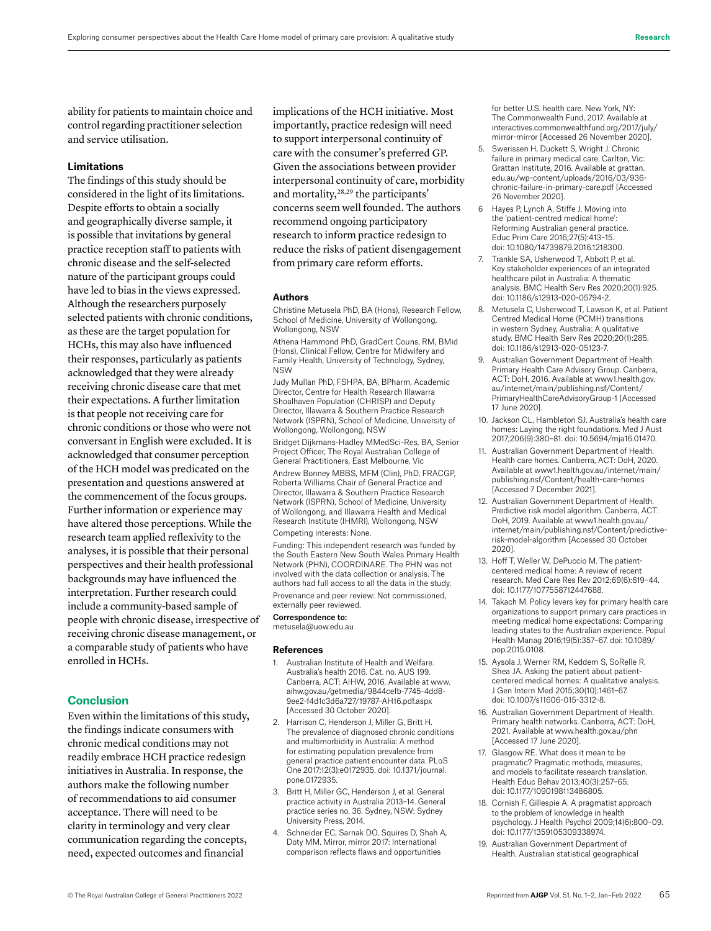ability for patients to maintain choice and control regarding practitioner selection and service utilisation.

# **Limitations**

The findings of this study should be considered in the light of its limitations. Despite efforts to obtain a socially and geographically diverse sample, it is possible that invitations by general practice reception staff to patients with chronic disease and the self-selected nature of the participant groups could have led to bias in the views expressed. Although the researchers purposely selected patients with chronic conditions, as these are the target population for HCHs, this may also have influenced their responses, particularly as patients acknowledged that they were already receiving chronic disease care that met their expectations. A further limitation is that people not receiving care for chronic conditions or those who were not conversant in English were excluded. It is acknowledged that consumer perception of the HCH model was predicated on the presentation and questions answered at the commencement of the focus groups. Further information or experience may have altered those perceptions. While the research team applied reflexivity to the analyses, it is possible that their personal perspectives and their health professional backgrounds may have influenced the interpretation. Further research could include a community-based sample of people with chronic disease, irrespective of receiving chronic disease management, or a comparable study of patients who have enrolled in HCHs.

#### **Conclusion**

Even within the limitations of this study, the findings indicate consumers with chronic medical conditions may not readily embrace HCH practice redesign initiatives in Australia. In response, the authors make the following number of recommendations to aid consumer acceptance. There will need to be clarity in terminology and very clear communication regarding the concepts, need, expected outcomes and financial

implications of the HCH initiative. Most importantly, practice redesign will need to support interpersonal continuity of care with the consumer's preferred GP. Given the associations between provider interpersonal continuity of care, morbidity and mortality,28,29 the participants' concerns seem well founded. The authors recommend ongoing participatory research to inform practice redesign to reduce the risks of patient disengagement from primary care reform efforts.

#### **Authors**

Christine Metusela PhD, BA (Hons), Research Fellow, School of Medicine, University of Wollongong, Wollongong, NSW

Athena Hammond PhD, GradCert Couns, RM, BMid (Hons), Clinical Fellow, Centre for Midwifery and Family Health, University of Technology, Sydney, NSW

Judy Mullan PhD, FSHPA, BA, BPharm, Academic Director, Centre for Health Research Illawarra Shoalhaven Population (CHRISP) and Deputy Director, Illawarra & Southern Practice Research Network (ISPRN), School of Medicine, University of Wollongong, Wollongong, NSW

Bridget Dijkmans-Hadley MMedSci-Res, BA, Senior Project Officer, The Royal Australian College of General Practitioners, East Melbourne, Vic

Andrew Bonney MBBS, MFM (Clin), PhD, FRACGP, Roberta Williams Chair of General Practice and Director, Illawarra & Southern Practice Research Network (ISPRN), School of Medicine, University of Wollongong, and Illawarra Health and Medical Research Institute (IHMRI), Wollongong, NSW

#### Competing interests: None.

Funding: This independent research was funded by the South Eastern New South Wales Primary Health Network (PHN), COORDINARE. The PHN was not involved with the data collection or analysis. The authors had full access to all the data in the study. Provenance and peer review: Not commissioned, externally peer reviewed.

# Correspondence to:

metusela@uow.edu.au

#### **References**

- 1. Australian Institute of Health and Welfare. Australia's health 2016. Cat. no. AUS 199. Canberra, ACT: AIHW, 2016. Available at www. aihw.gov.au/getmedia/9844cefb-7745-4dd8- 9ee2-f4d1c3d6a727/19787-AH16.pdf.aspx [Accessed 30 October 2020].
- 2. Harrison C, Henderson J, Miller G, Britt H. The prevalence of diagnosed chronic conditions and multimorbidity in Australia: A method for estimating population prevalence from general practice patient encounter data. PLoS One 2017;12(3):e0172935. doi: 10.1371/journal. pone.0172935.
- 3. Britt H, Miller GC, Henderson J, et al. General practice activity in Australia 2013–14. General practice series no. 36. Sydney, NSW: Sydney University Press, 2014.
- 4. Schneider EC, Sarnak DO, Squires D, Shah A, Doty MM. Mirror, mirror 2017: International comparison reflects flaws and opportunities

for better U.S. health care. New York, NY: The Commonwealth Fund, 2017. Available at interactives.commonwealthfund.org/2017/july/ mirror-mirror [Accessed 26 November 2020].

- 5. Swerissen H, Duckett S, Wright J. Chronic failure in primary medical care. Carlton, Vic: Grattan Institute, 2016. Available at grattan. edu.au/wp-content/uploads/2016/03/936 chronic-failure-in-primary-care.pdf [Accessed 26 November 2020].
- 6 Hayes P, Lynch A, Stiffe J. Moving into the 'patient-centred medical home': Reforming Australian general practice. Educ Prim Care 2016;27(5):413–15. doi: 10.1080/14739879.2016.1218300.
- 7. Trankle SA, Usherwood T, Abbott P, et al. Key stakeholder experiences of an integrated healthcare pilot in Australia: A thematic analysis. BMC Health Serv Res 2020;20(1):925. doi: 10.1186/s12913-020-05794-2.
- 8. Metusela C, Usherwood T, Lawson K, et al. Patient Centred Medical Home (PCMH) transitions in western Sydney, Australia: A qualitative study. BMC Health Serv Res 2020;20(1):285. doi: 10.1186/s12913-020-05123-7.
- 9. Australian Government Department of Health. Primary Health Care Advisory Group. Canberra, ACT: DoH, 2016. Available at www1.health.gov. au/internet/main/publishing.nsf/Content/ PrimaryHealthCareAdvisoryGroup-1 [Accessed 17 June 2020].
- 10. Jackson CL, Hambleton SJ. Australia's health care homes: Laying the right foundations. Med J Aust 2017;206(9):380–81. doi: 10.5694/mja16.01470.
- 11. Australian Government Department of Health. Health care homes. Canberra, ACT: DoH, 2020. Available at www1.health.gov.au/internet/main/ publishing.nsf/Content/health-care-homes [Accessed 7 December 2021].
- 12. Australian Government Department of Health. Predictive risk model algorithm. Canberra, ACT: DoH, 2019. Available at www1.health.gov.au/ internet/main/publishing.nsf/Content/predictiverisk-model-algorithm [Accessed 30 October 2020].
- 13. Hoff T, Weller W, DePuccio M. The patientcentered medical home: A review of recent research. Med Care Res Rev 2012;69(6):619–44. doi: 10.1177/1077558712447688.
- 14. Takach M. Policy levers key for primary health care organizations to support primary care practices in meeting medical home expectations: Comparing leading states to the Australian experience. Popul Health Manag 2016;19(5):357–67. doi: 10.1089/ pop.2015.0108.
- 15. Aysola J, Werner RM, Keddem S, SoRelle R, Shea JA. Asking the patient about patientcentered medical homes: A qualitative analysis. J Gen Intern Med 2015;30(10):1461–67. doi: 10.1007/s11606-015-3312-8.
- 16. Australian Government Department of Health. Primary health networks. Canberra, ACT: DoH, 2021. Available at www.health.gov.au/phn [Accessed 17 June 2020].
- 17. Glasgow RE. What does it mean to be pragmatic? Pragmatic methods, measures, and models to facilitate research translation. Health Educ Behav 2013;40(3):257–65. doi: 10.1177/1090198113486805.
- 18. Cornish F, Gillespie A. A pragmatist approach to the problem of knowledge in health psychology. J Health Psychol 2009;14(6):800–09. doi: 10.1177/1359105309338974.
- 19. Australian Government Department of Health. Australian statistical geographical